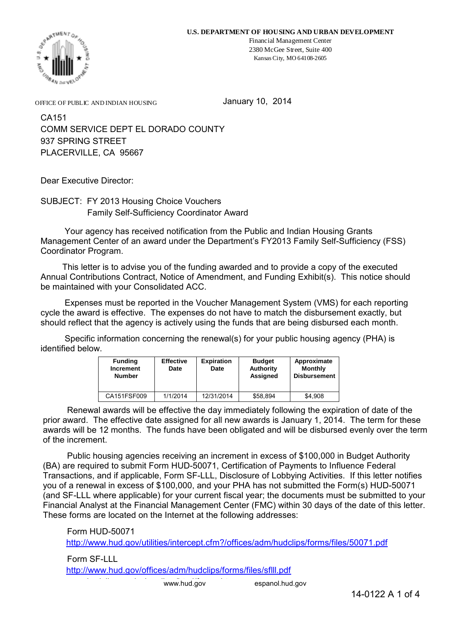

Financial Management Center 2380 McGee Street, Suite 400 Kansas City, MO 64108-2605

OFFICE OF PUBLIC AND INDIAN HOUSING

January 10, 2014

COMM SERVICE DEPT EL DORADO COUNTY 937 SPRING STREET PLACERVILLE, CA 95667 CA151

Dear Executive Director:

SUBJECT: FY 2013 Housing Choice Vouchers Family Self-Sufficiency Coordinator Award

 Your agency has received notification from the Public and Indian Housing Grants Management Center of an award under the Department's FY2013 Family Self-Sufficiency (FSS) Coordinator Program.

 This letter is to advise you of the funding awarded and to provide a copy of the executed Annual Contributions Contract, Notice of Amendment, and Funding Exhibit(s). This notice should be maintained with your Consolidated ACC.

 Expenses must be reported in the Voucher Management System (VMS) for each reporting cycle the award is effective. The expenses do not have to match the disbursement exactly, but should reflect that the agency is actively using the funds that are being disbursed each month.

 Specific information concerning the renewal(s) for your public housing agency (PHA) is identified below.

| <b>Funding</b><br>Increment<br><b>Number</b> | <b>Effective</b><br>Date | <b>Expiration</b><br>Date | <b>Budget</b><br>Authority<br>Assigned | Approximate<br><b>Monthly</b><br><b>Disbursement</b> |
|----------------------------------------------|--------------------------|---------------------------|----------------------------------------|------------------------------------------------------|
| CA151FSF009                                  | 1/1/2014                 | 12/31/2014                | \$58.894                               | \$4.908                                              |

 Renewal awards will be effective the day immediately following the expiration of date of the prior award. The effective date assigned for all new awards is January 1, 2014. The term for these awards will be 12 months. The funds have been obligated and will be disbursed evenly over the term of the increment.

 Public housing agencies receiving an increment in excess of \$100,000 in Budget Authority (BA) are required to submit Form HUD-50071, Certification of Payments to Influence Federal Transactions, and if applicable, Form SF-LLL, Disclosure of Lobbying Activities. If this letter notifies you of a renewal in excess of \$100,000, and your PHA has not submitted the Form(s) HUD-50071 (and SF-LLL where applicable) for your current fiscal year; the documents must be submitted to your Financial Analyst at the Financial Management Center (FMC) within 30 days of the date of this letter. These forms are located on the Internet at the following addresses:

 Form HUD-50071 http://www.hud.gov/utilities/intercept.cfm?/offices/adm/hudclips/forms/files/50071.pdf

 Form SF-LLL http://www.hud.gov/offices/adm/hudclips/forms/files/sflll.pdf

www.hud.gov

espanol.hud.gov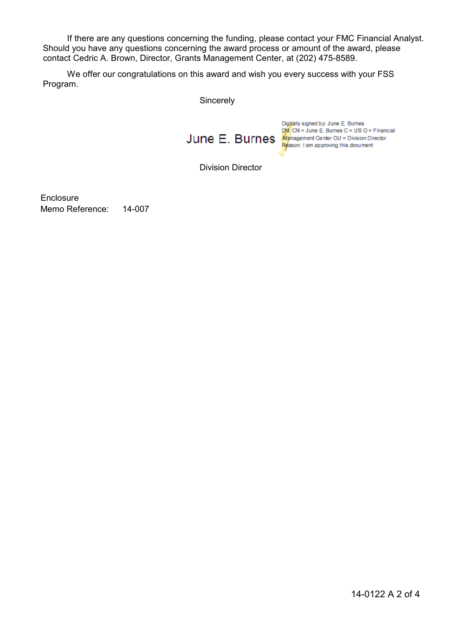If there are any questions concerning the funding, please contact your FMC Financial Analyst. Should you have any questions concerning the award process or amount of the award, please contact Cedric A. Brown, Director, Grants Management Center, at (202) 475-8589.

We offer our congratulations on this award and wish you every success with your FSS Program.

**Sincerely** 



Division Director

Memo Reference: 14-007 **Enclosure**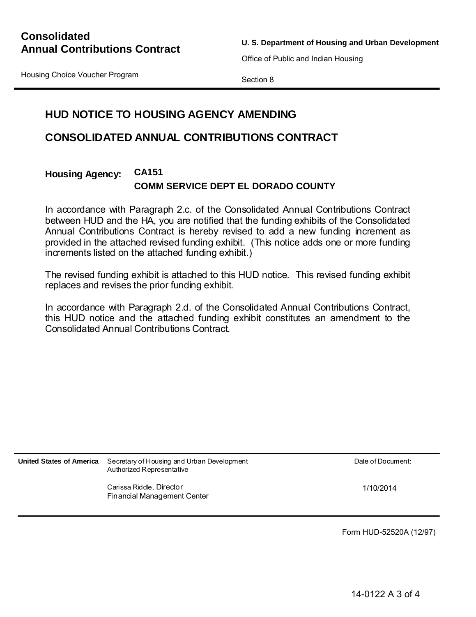**U. S. Department of Housing and Urban Development**

Office of Public and Indian Housing

Housing Choice Voucher Program

Section 8

# **HUD NOTICE TO HOUSING AGENCY AMENDING**

## **CONSOLIDATED ANNUAL CONTRIBUTIONS CONTRACT**

#### **Housing Agency: CA151 COMM SERVICE DEPT EL DORADO COUNTY**

In accordance with Paragraph 2.c. of the Consolidated Annual Contributions Contract between HUD and the HA, you are notified that the funding exhibits of the Consolidated Annual Contributions Contract is hereby revised to add a new funding increment as provided in the attached revised funding exhibit. (This notice adds one or more funding increments listed on the attached funding exhibit.)

The revised funding exhibit is attached to this HUD notice. This revised funding exhibit replaces and revises the prior funding exhibit.

In accordance with Paragraph 2.d. of the Consolidated Annual Contributions Contract, this HUD notice and the attached funding exhibit constitutes an amendment to the Consolidated Annual Contributions Contract.

**United States of America** Secretary of Housing and Urban Development **Date of Document Date of Document:** Authorized Representative

1/10/2014

Carissa Riddle, Director Financial Management Center

Form HUD-52520A (12/97)